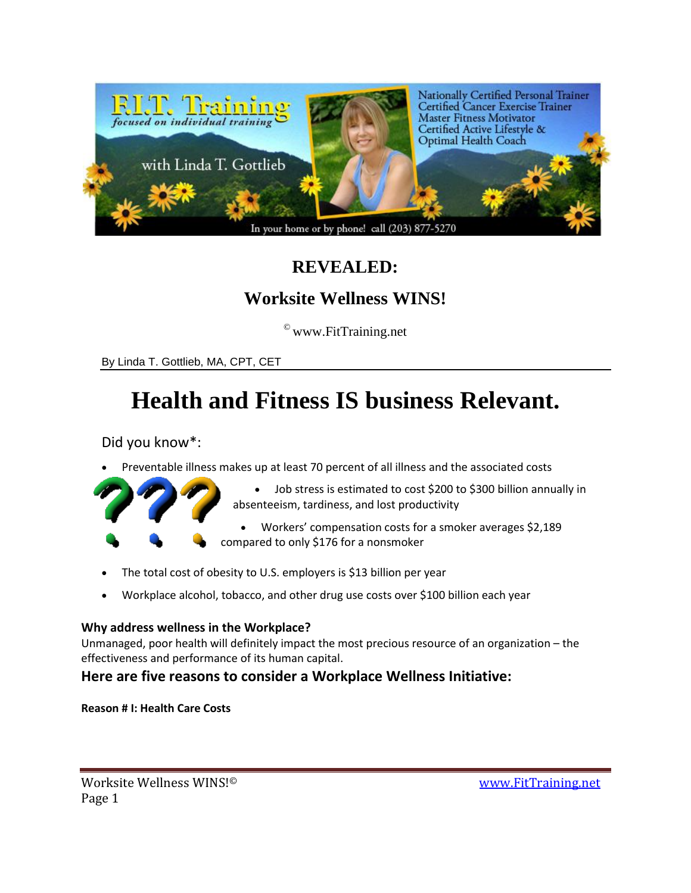

## **REVEALED:**

## **Worksite Wellness WINS!**

 $^\copyright$ www.FitTraining.net

By Linda T. Gottlieb, MA, CPT, CET

# **Health and Fitness IS business Relevant.**

Did you know\*:

Preventable illness makes up at least 70 percent of all illness and the associated costs



- Job stress is estimated to cost \$200 to \$300 billion annually in absenteeism, tardiness, and lost productivity
- Workers' compensation costs for a smoker averages \$2,189 compared to only \$176 for a nonsmoker
- The total cost of obesity to U.S. employers is \$13 billion per year
- Workplace alcohol, tobacco, and other drug use costs over \$100 billion each year

### **Why address wellness in the Workplace?**

Unmanaged, poor health will definitely impact the most precious resource of an organization – the effectiveness and performance of its human capital.

## **Here are five reasons to consider a Workplace Wellness Initiative:**

**Reason # I: Health Care Costs**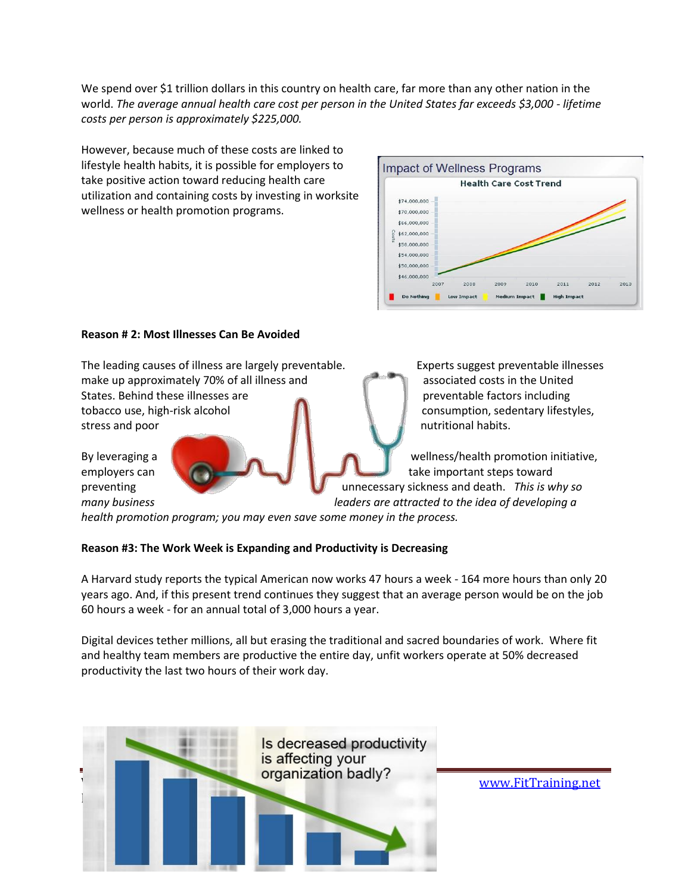We spend over \$1 trillion dollars in this country on health care, far more than any other nation in the world. *The average annual health care cost per person in the United States far exceeds \$3,000 - lifetime costs per person is approximately \$225,000.* 

However, because much of these costs are linked to lifestyle health habits, it is possible for employers to take positive action toward reducing health care utilization and containing costs by investing in worksite wellness or health promotion programs.



#### **Reason # 2: Most Illnesses Can Be Avoided**

The leading causes of illness are largely preventable. Experts suggest preventable illnesses make up approximately 70% of all illness and associated costs in the United States. Behind these illnesses are preventable factors including tobacco use, high-risk alcohol **consumption**, sedentary lifestyles, stress and poor nutritional habits.

By leveraging a strong and the strong and the strong and the strong wellness/health promotion initiative, employers can take important steps toward preventing unnecessary sickness and death. *This is why so many business leaders are attracted to the idea of developing a* 

*health promotion program; you may even save some money in the process.* 

#### **Reason #3: The Work Week is Expanding and Productivity is Decreasing**

A Harvard study reports the typical American now works 47 hours a week - 164 more hours than only 20 years ago. And, if this present trend continues they suggest that an average person would be on the job 60 hours a week - for an annual total of 3,000 hours a year.

Digital devices tether millions, all but erasing the traditional and sacred boundaries of work. Where fit and healthy team members are productive the entire day, unfit workers operate at 50% decreased productivity the last two hours of their work day.

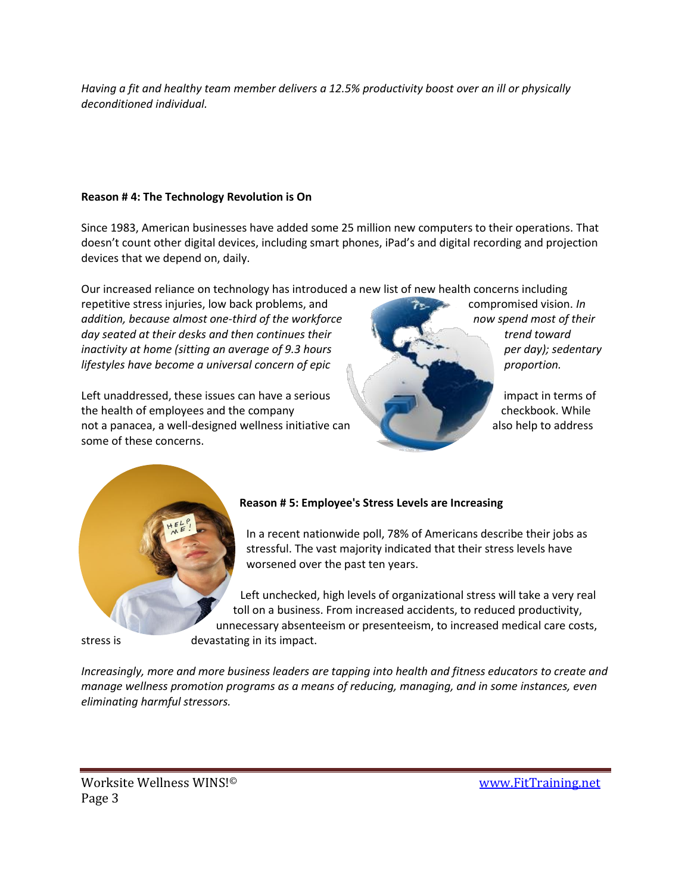*Having a fit and healthy team member delivers a 12.5% productivity boost over an ill or physically deconditioned individual.*

#### **Reason # 4: The Technology Revolution is On**

Since 1983, American businesses have added some 25 million new computers to their operations. That doesn't count other digital devices, including smart phones, iPad's and digital recording and projection devices that we depend on, daily.

Our increased reliance on technology has introduced a new list of new health concerns including

repetitive stress injuries, low back problems, and compromised vision. *In addition, because almost one-third of the workforce now spend most of their*  day seated at their desks and then continues their **the continues of the continues of the continues of the continues of the continues of the continues of the continues of the continues of the continues of the continues of** *inactivity at home (sitting an average of 9.3 hours per day); sedentary per day); sedentary lifestyles have become a universal concern of epic proportion.* 

Left unaddressed, these issues can have a serious in the case of the serious impact in terms of the health of employees and the company checkbook. While checkbook. While not a panacea, a well-designed wellness initiative can also help to address also help to address some of these concerns.





#### **Reason # 5: Employee's Stress Levels are Increasing**

In a recent nationwide poll, 78% of Americans describe their jobs as stressful. The vast majority indicated that their stress levels have worsened over the past ten years.

Left unchecked, high levels of organizational stress will take a very real toll on a business. From increased accidents, to reduced productivity, unnecessary absenteeism or presenteeism, to increased medical care costs, stress is devastating in its impact.

*Increasingly, more and more business leaders are tapping into health and fitness educators to create and manage wellness promotion programs as a means of reducing, managing, and in some instances, even eliminating harmful stressors.*